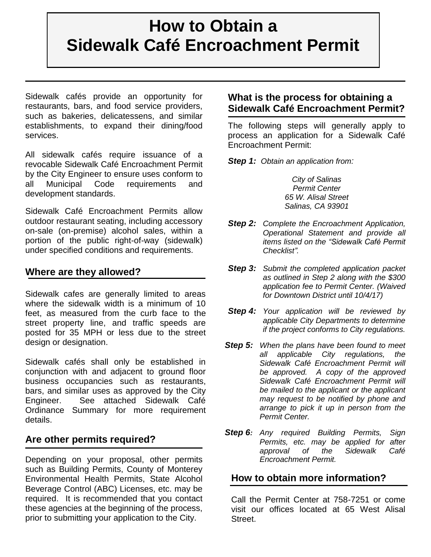# **How to Obtain a Sidewalk Café Encroachment Permit**

Sidewalk cafés provide an opportunity for restaurants, bars, and food service providers, such as bakeries, delicatessens, and similar **fé Encro** establishments, to expand their dining/food services.

All sidewalk cafés require issuance of a revocable Sidewalk Café Encroachment Permit revocable Sidewalk Café Encroachment Permit <br>by the City Engineer to ensure uses conform to all Municipal Code requirements and development standards.

Sidewalk Café Encroachment Permits allow outdoor restaurant seating, including accessory on-sale (on-premise) alcohol sales, within a portion of the public right-of-way (sidewalk) under specified conditions and requirements.

#### **Where are they allowed?**

Sidewalk cafes are generally limited to areas where the sidewalk width is a minimum of 10 feet, as measured from the curb face to the street property line, and traffic speeds are posted for 35 MPH or less due to the street design or designation.

Sidewalk cafés shall only be established in conjunction with and adjacent to ground floor business occupancies such as restaurants, bars, and similar uses as approved by the City Engineer. See attached Sidewalk Café Ordinance Summary for more requirement details.

#### **Are other permits required?**

Depending on your proposal, other permits such as Building Permits, County of Monterey Environmental Health Permits, State Alcohol Beverage Control (ABC) Licenses, etc. may be required. It is recommended that you contact these agencies at the beginning of the process, prior to submitting your application to the City.

## **What is the process for obtaining a Sidewalk Café Encroachment Permit?**

The following steps will generally apply to process an application for a Sidewalk Café Encroachment Permit:

*Step 1: Obtain an application from:*

*City of Salinas Permit Center 65 W. Alisal Street Salinas, CA 93901*

- *Step 2: Complete the Encroachment Application, Operational Statement and provide all items listed on the "Sidewalk Café Permit Checklist".*
- *Step 3: Submit the completed application packet as outlined in Step 2 along with the \$300 application fee to Permit Center. (Waived for Downtown District until 10/4/17)*
- *Step 4: Your application will be reviewed by applicable City Departments to determine if the project conforms to City regulations.*
- *Step 5: When the plans have been found to meet all applicable City regulations, the Sidewalk Café Encroachment Permit will be approved. A copy of the approved Sidewalk Café Encroachment Permit will be mailed to the applicant or the applicant may request to be notified by phone and arrange to pick it up in person from the Permit Center.*
- *Step 6: Any required Building Permits, Sign Permits, etc. may be applied for after approval of the Sidewalk Café Encroachment Permit.*

#### **How to obtain more information?**

Call the Permit Center at 758-7251 or come visit our offices located at 65 West Alisal Street.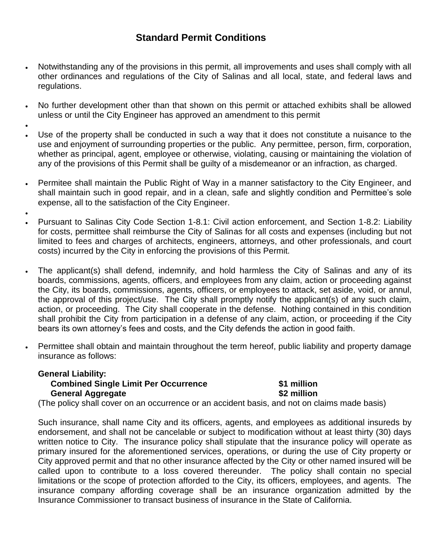# **Standard Permit Conditions**

- Notwithstanding any of the provisions in this permit, all improvements and uses shall comply with all other ordinances and regulations of the City of Salinas and all local, state, and federal laws and regulations.
- No further development other than that shown on this permit or attached exhibits shall be allowed unless or until the City Engineer has approved an amendment to this permit
- $\bullet$  Use of the property shall be conducted in such a way that it does not constitute a nuisance to the use and enjoyment of surrounding properties or the public. Any permittee, person, firm, corporation, whether as principal, agent, employee or otherwise, violating, causing or maintaining the violation of any of the provisions of this Permit shall be guilty of a misdemeanor or an infraction, as charged.
- Permitee shall maintain the Public Right of Way in a manner satisfactory to the City Engineer, and shall maintain such in good repair, and in a clean, safe and slightly condition and Permittee's sole expense, all to the satisfaction of the City Engineer.
- Pursuant to Salinas City Code Section 1-8.1: Civil action enforcement, and Section 1-8.2: Liability for costs, permittee shall reimburse the City of Salinas for all costs and expenses (including but not limited to fees and charges of architects, engineers, attorneys, and other professionals, and court costs) incurred by the City in enforcing the provisions of this Permit.
- The applicant(s) shall defend, indemnify, and hold harmless the City of Salinas and any of its boards, commissions, agents, officers, and employees from any claim, action or proceeding against the City, its boards, commissions, agents, officers, or employees to attack, set aside, void, or annul, the approval of this project/use. The City shall promptly notify the applicant(s) of any such claim, action, or proceeding. The City shall cooperate in the defense. Nothing contained in this condition shall prohibit the City from participation in a defense of any claim, action, or proceeding if the City bears its own attorney's fees and costs, and the City defends the action in good faith.
	- Permittee shall obtain and maintain throughout the term hereof, public liability and property damage insurance as follows:

#### **General Liability: Combined Single Limit Per Occurrence \$1 million General Aggregate \$2 million**

 $\bullet$ 

(The policy shall cover on an occurrence or an accident basis, and not on claims made basis)

Such insurance, shall name City and its officers, agents, and employees as additional insureds by endorsement, and shall not be cancelable or subject to modification without at least thirty (30) days written notice to City. The insurance policy shall stipulate that the insurance policy will operate as primary insured for the aforementioned services, operations, or during the use of City property or City approved permit and that no other insurance affected by the City or other named insured will be called upon to contribute to a loss covered thereunder. The policy shall contain no special limitations or the scope of protection afforded to the City, its officers, employees, and agents. The insurance company affording coverage shall be an insurance organization admitted by the Insurance Commissioner to transact business of insurance in the State of California.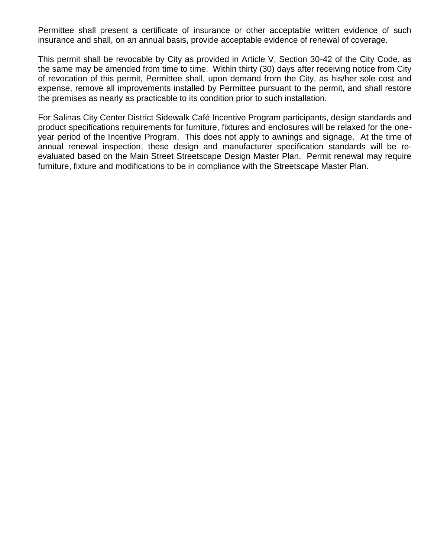Permittee shall present a certificate of insurance or other acceptable written evidence of such insurance and shall, on an annual basis, provide acceptable evidence of renewal of coverage.

This permit shall be revocable by City as provided in Article V, Section 30-42 of the City Code, as the same may be amended from time to time. Within thirty (30) days after receiving notice from City of revocation of this permit, Permittee shall, upon demand from the City, as his/her sole cost and expense, remove all improvements installed by Permittee pursuant to the permit, and shall restore the premises as nearly as practicable to its condition prior to such installation.

For Salinas City Center District Sidewalk Café Incentive Program participants, design standards and product specifications requirements for furniture, fixtures and enclosures will be relaxed for the oneyear period of the Incentive Program. This does not apply to awnings and signage. At the time of annual renewal inspection, these design and manufacturer specification standards will be reevaluated based on the Main Street Streetscape Design Master Plan. Permit renewal may require furniture, fixture and modifications to be in compliance with the Streetscape Master Plan.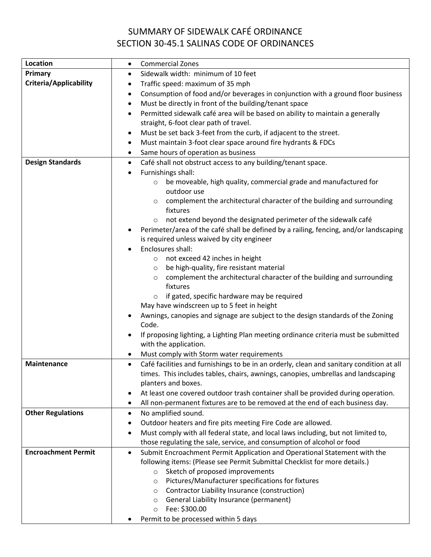# SUMMARY OF SIDEWALK CAFÉ ORDINANCE SECTION 30-45.1 SALINAS CODE OF ORDINANCES

| <b>Location</b>               | <b>Commercial Zones</b><br>$\bullet$                                                                                                                                                       |
|-------------------------------|--------------------------------------------------------------------------------------------------------------------------------------------------------------------------------------------|
| Primary                       | Sidewalk width: minimum of 10 feet<br>$\bullet$                                                                                                                                            |
| <b>Criteria/Applicability</b> | Traffic speed: maximum of 35 mph<br>٠                                                                                                                                                      |
|                               | Consumption of food and/or beverages in conjunction with a ground floor business<br>٠                                                                                                      |
|                               | Must be directly in front of the building/tenant space<br>$\bullet$                                                                                                                        |
|                               | Permitted sidewalk café area will be based on ability to maintain a generally                                                                                                              |
|                               | straight, 6-foot clear path of travel.                                                                                                                                                     |
|                               | Must be set back 3-feet from the curb, if adjacent to the street.<br>٠                                                                                                                     |
|                               | Must maintain 3-foot clear space around fire hydrants & FDCs<br>٠                                                                                                                          |
|                               | Same hours of operation as business<br>$\bullet$                                                                                                                                           |
| <b>Design Standards</b>       | Café shall not obstruct access to any building/tenant space.<br>$\bullet$                                                                                                                  |
|                               | Furnishings shall:                                                                                                                                                                         |
|                               | be moveable, high quality, commercial grade and manufactured for<br>$\circ$                                                                                                                |
|                               | outdoor use                                                                                                                                                                                |
|                               | complement the architectural character of the building and surrounding<br>$\circ$                                                                                                          |
|                               | fixtures                                                                                                                                                                                   |
|                               | not extend beyond the designated perimeter of the sidewalk café<br>$\circ$                                                                                                                 |
|                               | Perimeter/area of the café shall be defined by a railing, fencing, and/or landscaping                                                                                                      |
|                               | is required unless waived by city engineer                                                                                                                                                 |
|                               | Enclosures shall:                                                                                                                                                                          |
|                               | not exceed 42 inches in height<br>$\circ$                                                                                                                                                  |
|                               | be high-quality, fire resistant material<br>$\circ$                                                                                                                                        |
|                               | complement the architectural character of the building and surrounding<br>$\circ$                                                                                                          |
|                               | fixtures                                                                                                                                                                                   |
|                               | if gated, specific hardware may be required<br>$\circ$                                                                                                                                     |
|                               | May have windscreen up to 5 feet in height                                                                                                                                                 |
|                               | Awnings, canopies and signage are subject to the design standards of the Zoning                                                                                                            |
|                               | Code.                                                                                                                                                                                      |
|                               | If proposing lighting, a Lighting Plan meeting ordinance criteria must be submitted                                                                                                        |
|                               | with the application.                                                                                                                                                                      |
|                               | Must comply with Storm water requirements                                                                                                                                                  |
| Maintenance                   | Café facilities and furnishings to be in an orderly, clean and sanitary condition at all<br>$\bullet$<br>times. This includes tables, chairs, awnings, canopies, umbrellas and landscaping |
|                               | planters and boxes.                                                                                                                                                                        |
|                               | At least one covered outdoor trash container shall be provided during operation.<br>٠                                                                                                      |
|                               | All non-permanent fixtures are to be removed at the end of each business day.                                                                                                              |
| <b>Other Regulations</b>      | No amplified sound.<br>٠                                                                                                                                                                   |
|                               | Outdoor heaters and fire pits meeting Fire Code are allowed.<br>٠                                                                                                                          |
|                               | Must comply with all federal state, and local laws including, but not limited to,<br>$\bullet$                                                                                             |
|                               | those regulating the sale, service, and consumption of alcohol or food                                                                                                                     |
| <b>Encroachment Permit</b>    | Submit Encroachment Permit Application and Operational Statement with the<br>$\bullet$                                                                                                     |
|                               | following items: (Please see Permit Submittal Checklist for more details.)                                                                                                                 |
|                               | Sketch of proposed improvements<br>$\circ$                                                                                                                                                 |
|                               | Pictures/Manufacturer specifications for fixtures<br>$\circ$                                                                                                                               |
|                               | Contractor Liability Insurance (construction)<br>$\circ$                                                                                                                                   |
|                               | General Liability Insurance (permanent)<br>$\circ$                                                                                                                                         |
|                               | Fee: \$300.00<br>$\circ$                                                                                                                                                                   |
|                               | Permit to be processed within 5 days                                                                                                                                                       |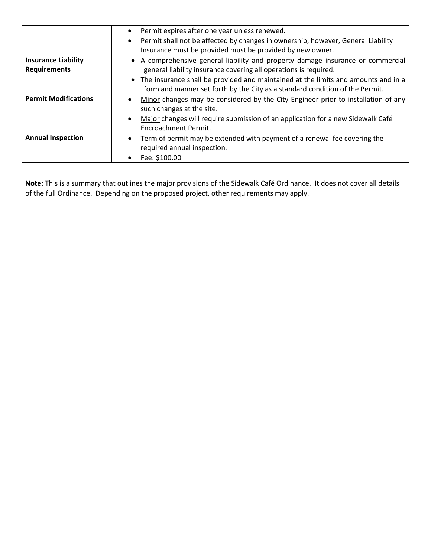|                             | Permit expires after one year unless renewed.<br>$\bullet$                                                                                                          |
|-----------------------------|---------------------------------------------------------------------------------------------------------------------------------------------------------------------|
|                             | Permit shall not be affected by changes in ownership, however, General Liability<br>$\bullet$                                                                       |
|                             | Insurance must be provided must be provided by new owner.                                                                                                           |
| <b>Insurance Liability</b>  | • A comprehensive general liability and property damage insurance or commercial                                                                                     |
| <b>Requirements</b>         | general liability insurance covering all operations is required.                                                                                                    |
|                             | • The insurance shall be provided and maintained at the limits and amounts and in a<br>form and manner set forth by the City as a standard condition of the Permit. |
| <b>Permit Modifications</b> | Minor changes may be considered by the City Engineer prior to installation of any<br>such changes at the site.                                                      |
|                             | Major changes will require submission of an application for a new Sidewalk Café<br>Encroachment Permit.                                                             |
| <b>Annual Inspection</b>    | Term of permit may be extended with payment of a renewal fee covering the<br>required annual inspection.                                                            |
|                             | Fee: \$100.00                                                                                                                                                       |

**Note:** This is a summary that outlines the major provisions of the Sidewalk Café Ordinance. It does not cover all details of the full Ordinance. Depending on the proposed project, other requirements may apply.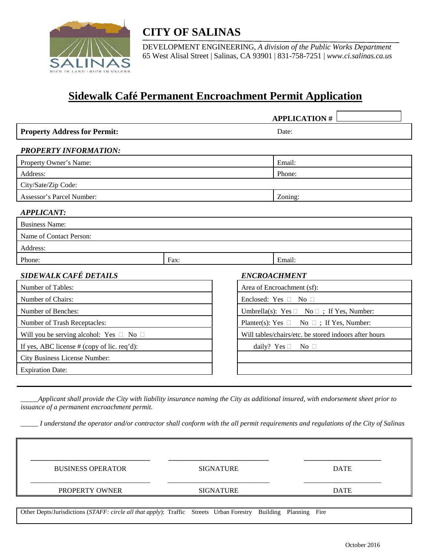

# **CITY OF SALINAS**

DEVELOPMENT ENGINEERING, *A division of the Public Works Department* 65 West Alisal Street | Salinas, CA 93901 | 831-758-7251 | *www.ci.salinas.ca.us*

# **Sidewalk Café Permanent Encroachment Permit Application**

|                                                   |      |  |                                                       | <b>APPLICATION#</b>        |  |
|---------------------------------------------------|------|--|-------------------------------------------------------|----------------------------|--|
| <b>Property Address for Permit:</b>               |      |  |                                                       | Date:                      |  |
| <b>PROPERTY INFORMATION:</b>                      |      |  |                                                       |                            |  |
| Property Owner's Name:                            |      |  |                                                       | Email:                     |  |
| Address:                                          |      |  |                                                       | Phone:                     |  |
| City/Sate/Zip Code:                               |      |  |                                                       |                            |  |
| Assessor's Parcel Number:                         |      |  |                                                       | Zoning:                    |  |
| <b>APPLICANT:</b>                                 |      |  |                                                       |                            |  |
| <b>Business Name:</b>                             |      |  |                                                       |                            |  |
| Name of Contact Person:                           |      |  |                                                       |                            |  |
| Address:                                          |      |  |                                                       |                            |  |
| Phone:                                            | Fax: |  |                                                       | Email:                     |  |
| <b>SIDEWALK CAFÉ DETAILS</b>                      |      |  |                                                       | <b>ENCROACHMENT</b>        |  |
| Number of Tables:                                 |      |  |                                                       | Area of Encroachment (sf): |  |
| Number of Chairs:                                 |      |  | Enclosed: Yes $\Box$ No $\Box$                        |                            |  |
| Number of Benches:                                |      |  | Umbrella(s): Yes $\Box$ No $\Box$ ; If Yes, Number:   |                            |  |
| Number of Trash Receptacles:                      |      |  | Planter(s): Yes $\Box$ No $\Box$ ; If Yes, Number:    |                            |  |
| Will you be serving alcohol: Yes $\Box$ No $\Box$ |      |  | Will tables/chairs/etc. be stored indoors after hours |                            |  |
| If yes, ABC license # (copy of lic. req'd):       |      |  | daily? Yes $\square$<br>$No$ $\Box$                   |                            |  |
| City Business License Number:                     |      |  |                                                       |                            |  |
| <b>Expiration Date:</b>                           |      |  |                                                       |                            |  |

*\_\_\_\_\_Applicant shall provide the City with liability insurance naming the City as additional insured, with endorsement sheet prior to issuance of a permanent encroachment permit.*

*\_\_\_\_\_ I understand the operator and/or contractor shall conform with the all permit requirements and regulations of the City of Salinas*

| <b>BUSINESS OPERATOR</b>                                                                                        | <b>SIGNATURE</b> |  | <b>DATE</b> |  |
|-----------------------------------------------------------------------------------------------------------------|------------------|--|-------------|--|
| <b>PROPERTY OWNER</b>                                                                                           | <b>SIGNATURE</b> |  | <b>DATE</b> |  |
| Other Depts/Jurisdictions (STAFF: circle all that apply): Traffic Streets Urban Forestry Building Planning Fire |                  |  |             |  |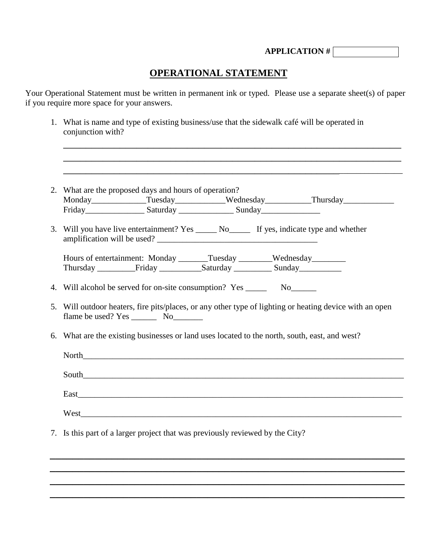**APPLICATION #**

## **OPERATIONAL STATEMENT**

Your Operational Statement must be written in permanent ink or typed. Please use a separate sheet(s) of paper if you require more space for your answers.

| 1. What is name and type of existing business/use that the sidewalk café will be operated in<br>conjunction with?                                                                                                              |
|--------------------------------------------------------------------------------------------------------------------------------------------------------------------------------------------------------------------------------|
|                                                                                                                                                                                                                                |
| 2. What are the proposed days and hours of operation?                                                                                                                                                                          |
| Monday Tuesday Wednesday Hursday Thursday                                                                                                                                                                                      |
|                                                                                                                                                                                                                                |
| 3. Will you have live entertainment? Yes ______ No______ If yes, indicate type and whether                                                                                                                                     |
| Hours of entertainment: Monday _______Tuesday ________Wednesday _________                                                                                                                                                      |
|                                                                                                                                                                                                                                |
|                                                                                                                                                                                                                                |
| 4. Will alcohol be served for on-site consumption? Yes __________________________                                                                                                                                              |
| 5. Will outdoor heaters, fire pits/places, or any other type of lighting or heating device with an open                                                                                                                        |
| 6. What are the existing businesses or land uses located to the north, south, east, and west?                                                                                                                                  |
| North that the contract of the contract of the contract of the contract of the contract of the contract of the contract of the contract of the contract of the contract of the contract of the contract of the contract of the |
|                                                                                                                                                                                                                                |
|                                                                                                                                                                                                                                |
|                                                                                                                                                                                                                                |
|                                                                                                                                                                                                                                |
| 7. Is this part of a larger project that was previously reviewed by the City?                                                                                                                                                  |

*\_\_\_\_\_\_\_\_\_\_\_\_\_\_\_\_\_\_\_\_\_\_\_\_\_\_\_\_\_\_\_\_\_\_\_\_\_\_\_\_\_\_\_\_\_\_\_\_\_\_\_\_\_\_\_\_\_\_\_\_\_\_\_ \_\_\_\_\_\_\_\_\_\_\_\_\_\_\_\_\_\_\_\_\_\_\_\_\_\_\_\_\_\_\_\_\_\_\_\_\_\_\_\_\_\_\_\_\_\_\_\_\_\_\_\_\_\_\_\_\_\_\_\_\_\_\_ \_\_\_\_\_\_\_\_\_\_\_\_\_\_\_\_\_\_\_\_\_\_\_\_\_\_\_\_\_\_\_\_\_\_\_\_\_\_\_\_\_\_\_\_\_\_\_\_\_\_\_\_\_\_\_\_\_\_\_\_\_\_\_ \_\_\_\_\_\_\_\_\_\_\_\_\_\_\_\_\_\_\_\_\_\_\_\_\_\_\_\_\_\_\_\_\_\_\_\_\_\_\_\_\_\_\_\_\_\_\_\_\_\_\_\_\_\_\_\_\_\_\_\_\_\_\_*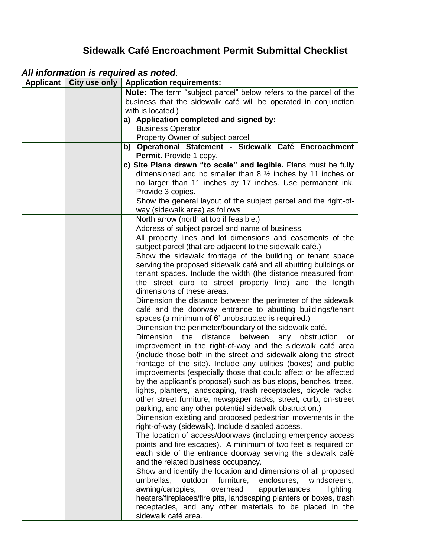# **Sidewalk Café Encroachment Permit Submittal Checklist**

# *All information is required as noted*:

| Applicant | City use only | <b>Application requirements:</b>                                                                                                    |
|-----------|---------------|-------------------------------------------------------------------------------------------------------------------------------------|
|           |               | Note: The term "subject parcel" below refers to the parcel of the                                                                   |
|           |               | business that the sidewalk café will be operated in conjunction                                                                     |
|           |               | with is located.)                                                                                                                   |
|           |               | a) Application completed and signed by:                                                                                             |
|           |               | <b>Business Operator</b>                                                                                                            |
|           |               | Property Owner of subject parcel                                                                                                    |
|           |               | b) Operational Statement - Sidewalk Café Encroachment                                                                               |
|           |               | Permit. Provide 1 copy.                                                                                                             |
|           |               | c) Site Plans drawn "to scale" and legible. Plans must be fully                                                                     |
|           |               | dimensioned and no smaller than $8\frac{1}{2}$ inches by 11 inches or                                                               |
|           |               | no larger than 11 inches by 17 inches. Use permanent ink.<br>Provide 3 copies.                                                      |
|           |               | Show the general layout of the subject parcel and the right-of-                                                                     |
|           |               | way (sidewalk area) as follows                                                                                                      |
|           |               | North arrow (north at top if feasible.)                                                                                             |
|           |               | Address of subject parcel and name of business.                                                                                     |
|           |               | All property lines and lot dimensions and easements of the                                                                          |
|           |               | subject parcel (that are adjacent to the sidewalk café.)                                                                            |
|           |               | Show the sidewalk frontage of the building or tenant space                                                                          |
|           |               | serving the proposed sidewalk café and all abutting buildings or                                                                    |
|           |               | tenant spaces. Include the width (the distance measured from                                                                        |
|           |               | the street curb to street property line) and the length                                                                             |
|           |               | dimensions of these areas.                                                                                                          |
|           |               | Dimension the distance between the perimeter of the sidewalk                                                                        |
|           |               | café and the doorway entrance to abutting buildings/tenant                                                                          |
|           |               | spaces (a minimum of 6' unobstructed is required.)                                                                                  |
|           |               | Dimension the perimeter/boundary of the sidewalk café.                                                                              |
|           |               | the<br>Dimension<br>distance<br>between<br>any<br>obstruction<br>or                                                                 |
|           |               | improvement in the right-of-way and the sidewalk café area                                                                          |
|           |               | (include those both in the street and sidewalk along the street                                                                     |
|           |               | frontage of the site). Include any utilities (boxes) and public                                                                     |
|           |               | improvements (especially those that could affect or be affected                                                                     |
|           |               | by the applicant's proposal) such as bus stops, benches, trees,<br>lights, planters, landscaping, trash receptacles, bicycle racks, |
|           |               | other street furniture, newspaper racks, street, curb, on-street                                                                    |
|           |               | parking, and any other potential sidewalk obstruction.)                                                                             |
|           |               | Dimension existing and proposed pedestrian movements in the                                                                         |
|           |               | right-of-way (sidewalk). Include disabled access.                                                                                   |
|           |               | The location of access/doorways (including emergency access                                                                         |
|           |               | points and fire escapes). A minimum of two feet is required on                                                                      |
|           |               | each side of the entrance doorway serving the sidewalk café                                                                         |
|           |               | and the related business occupancy.                                                                                                 |
|           |               | Show and identify the location and dimensions of all proposed                                                                       |
|           |               | umbrellas,<br>outdoor furniture, enclosures,<br>windscreens,                                                                        |
|           |               | awning/canopies,<br>overhead<br>appurtenances,<br>lighting,                                                                         |
|           |               | heaters/fireplaces/fire pits, landscaping planters or boxes, trash                                                                  |
|           |               | receptacles, and any other materials to be placed in the                                                                            |
|           |               | sidewalk café area.                                                                                                                 |